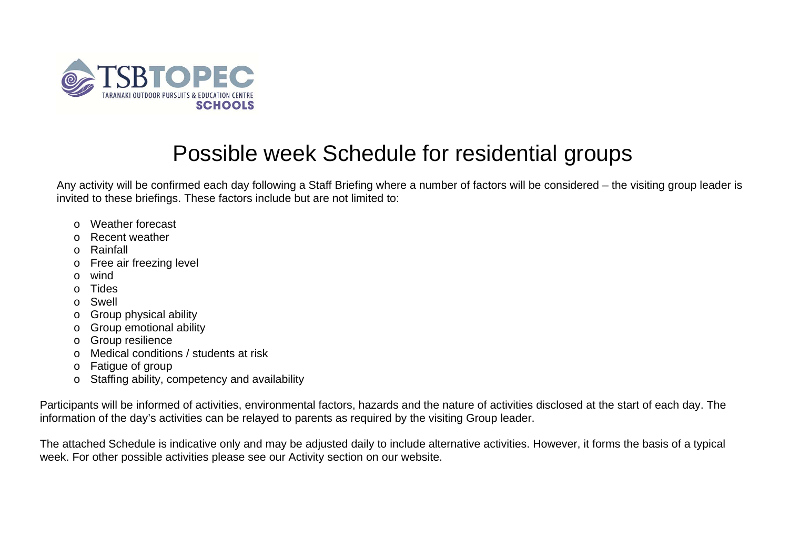

## Possible week Schedule for residential groups

Any activity will be confirmed each day following a Staff Briefing where a number of factors will be considered – the visiting group leader is invited to these briefings. These factors include but are not limited to:

- o Weather forecast
- o Recent weather
- o Rainfall
- <sup>o</sup> Free air freezing level
- o wind
- o Tides
- o Swell
- <sup>o</sup> Group physical ability
- <sup>o</sup> Group emotional ability
- <sup>o</sup> Group resilience
- o Medical conditions / students at risk
- <sup>o</sup> Fatigue of group
- <sup>o</sup> Staffing ability, competency and availability

Participants will be informed of activities, environmental factors, hazards and the nature of activities disclosed at the start of each day. The information of the day's activities can be relayed to parents as required by the visiting Group leader.

The attached Schedule is indicative only and may be adjusted daily to include alternative activities. However, it forms the basis of a typical week. For other possible activities please see our Activity section on our website.